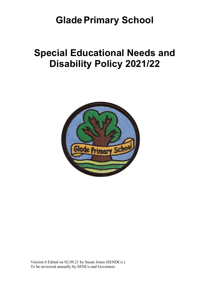# **Glade Primary School**

# **Special Educational Needs and Disability Policy 2021/22**

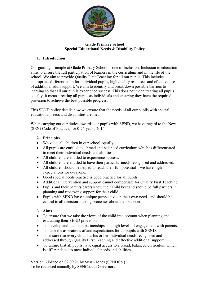

## **Glade Primary School Special Educational Needs & Disability Policy**

## **1. Introduction**

Our guiding principle at Glade Primary School is one of Inclusion. Inclusion in education aims to ensure the full participation of learners in the curriculum and in the life of the school. We aim to provide Quality First Teaching for all our pupils. This includes appropriate differentiation for individual pupils, high quality resources and effective use of additional adult support. We aim to identify and break down possible barriers to learning so that all our pupils experience success. This does not mean treating all pupils equally; it means treating all pupils as individuals and ensuring they have the required provision to achieve the best possible progress.

This SEND policy details how we ensure that the needs of all our pupils with special educational needs and disabilities are met.

When carrying out our duties towards our pupils with SEND, we have regard to the New (SEN) Code of Practice, for 0-25 years, 2014.

- **2. Principles**
- We value all children in our school equally.
- All pupils are entitled to a broad and balanced curriculum which is differentiated to meet their individual needs and abilities.
- All children are entitled to experience success.
- All children are entitled to have their particular needs recognised and addressed.
- All children should be helped to reach their full potential we have high expectations for everyone.
- Good special needs practice is good practice for all pupils.
- Additional intervention and support cannot compensate for Quality First Teaching.
- Pupils and their parents/carers know their child best and should be full partners in planning and reviewing support for their child.
- Pupils with SEND have a unique perspective on their own needs and should be central to all decision-making processes about their support.

#### **3. Aims**

- To ensure that we take the views of the child into account when planning and evaluating their SEND provision.
- To develop and maintain partnerships and high levels of engagement with parents.
- To raise the aspirations of and expectations for all pupils with SEND.
- To ensure that every child has his or her individual needs recognised and addressed through Quality First Teaching and effective additional support.
- To ensure that all pupils have equal access to a broad, balanced curriculum which is differentiated to meet individual needs and abilities.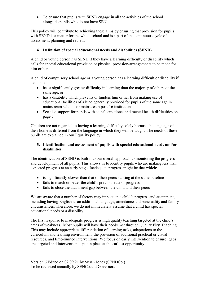• To ensure that pupils with SEND engage in all the activities of the school alongside pupils who do not have SEN.

This policy will contribute to achieving these aims by ensuring that provision for pupils with SEND is a matter for the whole school and is a part of the continuous cycle of assessment, planning and review.

## **4. Definition of special educational needs and disabilities (SEND)**

A child or young person has SEND if they have a learning difficulty or disability which calls for special educational provision or physical provision/arrangements to be made for him or her.

A child of compulsory school age or a young person has a learning difficult or disability if he or she:

- has a significantly greater difficulty in learning than the majority of others of the same age, or
- has a disability which prevents or hinders him or her from making use of educational facilities of a kind generally provided for pupils of the same age in mainstream schools or mainstream post-16 institution
- See also support for pupils with social, emotional and mental health difficulties on page 5

Children are not regarded as having a learning difficulty solely because the language of their home is different from the language in which they will be taught. The needs of these pupils are explained in our Equality policy.

#### **5. Identification and assessment of pupils with special educational needs and/or disabilities.**

The identification of SEND is built into our overall approach to monitoring the progress and development of all pupils. This allows us to identify pupils who are making less than expected progress at an early stage. Inadequate progress might be that which:

- is significantly slower than that of their peers starting at the same baseline
- fails to match or better the child's previous rate of progress
- fails to close the attainment gap between the child and their peers

We are aware that a number of factors may impact on a child's progress and attainment, including having English as an additional language, attendance and punctuality and family circumstances. Therefore, we do not immediately assume that a child has special educational needs or a disability.

The first response to inadequate progress is high quality teaching targeted at the child's areas of weakness. Most pupils will have their needs met through Quality First Teaching. This may include appropriate differentiation of learning tasks, adaptations to the curriculum and learning environment, the provision of additional practical or visual resources, and time-limited interventions. We focus on early intervention to ensure 'gaps' are targeted and intervention is put in place at the earliest opportunity.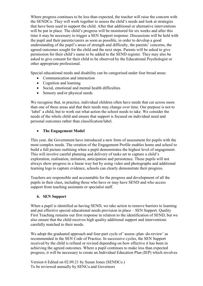Where progress continues to be less than expected, the teacher will raise the concern with the SENDCo. They will work together to assess the child's needs and look at strategies that have been used to support the child. After that additional or alternative interventions will be put in place. The child's progress will be monitored for six weeks and after this time it may be necessary to trigger a SEN Support response. Discussions will be held with the pupil and their parents/carers as soon as possible, in order to develop a good understanding of the pupil's areas of strength and difficulty, the parents' concerns, the agreed outcomes sought for the child and the next steps. Parents will be asked to give permission for their child's name to be added to the SEND register. They may also be asked to give consent for their child to be observed by the Educational Psychologist or other appropriate professional.

Special educational needs and disability can be categorised under four broad areas:

- Communication and interaction
- Cognition and learning
- Social, emotional and mental health difficulties
- Sensory and/or physical needs

We recognise that, in practice, individual children often have needs that cut across more than one of these areas and that their needs may change over time. Our purpose is not to 'label' a child, but to work out what action the school needs to take. We consider the needs of the whole child and ensure that support is focused on individual need and personal outcomes rather than classification/label.

## • **The Engagement Model**

This year, the Government have introduced a new form of assessment for pupils with the most complex needs. The creation of the Engagement Profile enables home and school to build a full picture outlining when a pupil demonstrates the highest level of engagement. This will involve careful planning and delivery of tasks set to capture a child's exploration, realisation, initiation, anticipation and persistence. These pupils will not always show progress in a linear way but by using video and photographs and additional learning logs to capture evidence, schools can clearly demonstrate their progress.

Teachers are responsible and accountable for the progress and development of all the pupils in their class, including those who have or may have SEND and who access support from teaching assistants or specialist staff.

#### **6. SEN Support**

When a pupil is identified as having SEND, we take action to remove barriers to learning and put effective special educational needs provision in place – SEN Support. Quality First Teaching remains our first response in relation to the identification of SEND, but we also ensure that the child receives high quality additional support and interventions carefully matched to their needs.

We adopt the graduated approach and four-part cycle of 'assess-plan-do-review' as recommended in the SEN Code of Practice. In successive cycles, the SEN Support received by the child is refined or revised depending on how effective it has been in achieving the agreed outcomes. Where a pupil continues to make less than expected progress, it will be necessary to create an Individual Education Plan (IEP) which involves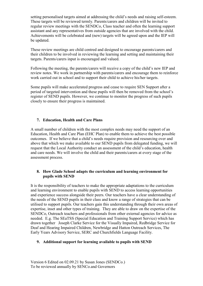setting personalised targets aimed at addressing the child's needs and raising self-esteem. These targets will be reviewed termly. Parents/carers and children will be invited to regular review meetings with the SENDCo, Class teacher and often the learning support assistant and any representatives from outside agencies that are involved with the child. Achievements will be celebrated and (new) targets will be agreed upon and the IEP will be updated.

These review meetings are child centred and designed to encourage parents/carers and their children to be involved in reviewing the learning and setting and maintaining their targets. Parents/carers input is encouraged and valued.

Following the meeting, the parents/carers will receive a copy of the child's new IEP and review notes. We work in partnership with parents/carers and encourage them to reinforce work carried out in school and to support their child to achieve his/her targets.

Some pupils will make accelerated progress and cease to require SEN Support after a period of targeted intervention and these pupils will then be removed from the school's register of SEND pupils. However, we continue to monitor the progress of such pupils closely to ensure their progress is maintained.

## **7. Education, Health and Care Plans**

A small number of children with the most complex needs may need the support of an Education, Health and Care Plan (EHC Plan) to enable them to achieve the best possible outcomes. If we believe that a child's needs require provision and resourcing over and above that which we make available to our SEND pupils from delegated funding, we will request that the Local Authority conduct an assessment of the child's education, health and care needs. We will involve the child and their parents/carers at every stage of the assessment process.

#### **8. How Glade School adapts the curriculum and learning environment for pupils with SEND**

It is the responsibility of teachers to make the appropriate adaptations to the curriculum and learning environment to enable pupils with SEND to access learning opportunities and experience success alongside their peers. Our teachers have a clear understanding of the needs of the SEND pupils in their class and know a range of strategies that can be utilised to support pupils. Our teachers gain this understanding through their own areas of expertise, inset and other types of training. They are able to draw on the expertise of the SENDCo, Outreach teachers and professionals from other external agencies for advice as needed. E.g. The SEaTSS (Special Education and Training Support Service) which has drawn together Joseph Clarke Service for the Visually Impaired, Redbridge Service for Deaf and Hearing Impaired Children, Newbridge and Hatton Outreach Services, The Early Years Advisory Service, SERC and Churchfields Language Facility.

#### **9. Additional support for learning available to pupils with SEND**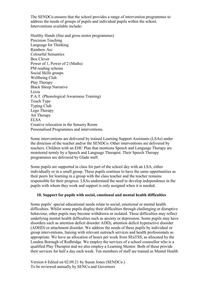The SENDCo.ensures that the school provides a range of intervention programmes to address the needs of groups of pupils and individual pupils within the school. Interventions available include:

Healthy Hands (fine and gross motor programmes) Precision Teaching Language for Thinking Rainbow Arc Colourful Semantics Box Clever Power of 1, Power of 2 (Maths) PM reading scheme Social Skills groups Wellbeing Club Play Therapy Black Sheep Narrative Lexia P.A.T. (Phonological Awareness Training) Touch Type Typing Club Lego Therapy Art Therapy ELSA Creative relaxation in the Sensory Room Personalised Programmes and interventions.

Some interventions are delivered by trained Learning Support Assistants (LSAs) under the direction of the teacher and/or the SENDCo. Other interventions are delivered by teachers. Children with an EHC Plan that mentions Speech and Language Therapy are monitored termly by a Speech and Language Therapist. Their Speech Therapy programmes are delivered by Glade staff.

Some pupils are supported in class for part of the school day with an LSA, either individually or in a small group. These pupils continue to have the same opportunities as their peers for learning in a group with the class teacher and the teacher remains responsible for their progress. LSAs understand the need to develop independence in the pupils with whom they work and support is only assigned when it is needed.

#### **10. Support for pupils with social, emotional and mental health difficulties**

Some pupils' special educational needs relate to social, emotional or mental health difficulties. Whilst some pupils display their difficulties through challenging or disruptive behaviour, other pupils may become withdrawn or isolated. These difficulties may reflect underlying mental health difficulties such as anxiety or depression. Some pupils may have disorders such as attention deficit disorder ADD), attention deficit hyperactive disorder (ADHD) or attachment disorder. We address the needs of these pupils by individual or group interventions, liaising with relevant outreach services and health professionals as appropriate. We have an allocation of hours per week from SEaTSS, as allocated by the London Borough of Redbridge. We employ the services of a school counsellor who is a qualified Play Therapist and we also employ a Learning Mentor. Both of these provide their services for half a day each week. Ten members of staff are trained as Mental Health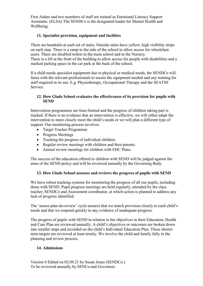First Aiders and two members of staff are trained as Emotional Literacy Support Assistants. (ELSA) The SENDCo is the designated leader for Mental Health and Wellbeing.

## **11. Specialist provision, equipment and facilities**

There are handrails at each set of stairs. Outside stairs have yellow; high visibility strips on each step. There is a ramp to the side of the school to allow access for wheelchair users. There are disabled toilets in the main school and in the Nursery. There is a lift at the front of the building to allow access for people with disabilities and a marked parking space in the car park at the back of the school.

If a child needs specialist equipment due to physical or medical needs, the SENDCo will liaise with the relevant professionals to secure the equipment needed and any training for staff required in its use. E.g. Physiotherapy, Occupational Therapy and the SEATSS Service.

## **12. How Glade School evaluates the effectiveness of its provision for pupils with SEND**

Intervention programmes are time-limited and the progress of children taking part is tracked. If there is no evidence that an intervention is effective, we will either adapt the intervention to more closely meet the child's needs or we will plan a different type of support. Our monitoring process involves:

- Target Tracker Programme
- Progress Meetings
- Tracking the progress of individual children.
- Regular review meetings with children and their parents.
- Annual review meetings for children with EHC Plans.

The success of the education offered to children with SEND will be judged against the aims of the SEND policy and will be reviewed annually by the Governing Body

#### **13. How Glade School assesses and reviews the progress of pupils with SEND**

We have robust tracking systems for monitoring the progress of all our pupils, including those with SEND. Pupil progress meetings are held regularly, attended by the class teacher, SENDCo and Assessment coordinator, at which action is planned to address any lack of progress identified.

The 'assess-plan-do-review' cycle ensures that we match provision closely to each child's needs and that we respond quickly to any evidence of inadequate progress.

The progress of pupils with SEND in relation to the objectives in their Education, Health and Care Plan are reviewed annually. A child's objectives or outcomes are broken down into smaller steps and recorded on the child's Individual Education Plan. These shorter term targets are reviewed at least termly. We involve the child and family fully in the planning and review process.

#### **14. Admissions**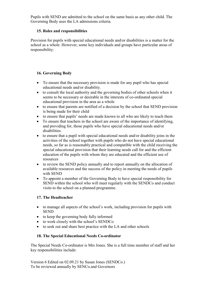Pupils with SEND are admitted to the school on the same basis as any other child. The Governing Body uses the LA admissions criteria.

## **15. Roles and responsibilities**

Provision for pupils with special educational needs and/or disabilities is a matter for the school as a whole. However, some key individuals and groups have particular areas of responsibility:

# **16. Governing Body**

- To ensure that the necessary provision is made for any pupil who has special educational needs and/or disability.
- to consult the local authority and the governing bodies of other schools when it seems to be necessary or desirable in the interests of co-ordinated special educational provision in the area as a whole
- to ensure that parents are notified of a decision by the school that SEND provision is being made for their child
- to ensure that pupils' needs are made known to all who are likely to teach them
- To ensure that teachers in the school are aware of the importance of identifying, and providing for, those pupils who have special educational needs and/or disabilities.
- to ensure that a pupil with special educational needs and/or disability joins in the activities of the school together with pupils who do not have special educational needs, so far as is reasonably practical and compatible with the child receiving the special educational provision that their learning needs call for and the efficient education of the pupils with whom they are educated and the efficient use of resources
- to review the SEND policy annually and to report annually on the allocation of available resources and the success of the policy in meeting the needs of pupils with SEND
- To appoint a member of the Governing Body to have special responsibility for SEND within the school who will meet regularly with the SENDCo and conduct visits to the school on a planned programme.

#### **17. The Headteacher**

- to manage all aspects of the school's work, including provision for pupils with SEND
- to keep the governing body fully informed
- to work closely with the school's SENDCo
- to seek out and share best practice with the LA and other schools

# **18. The Special Educational Needs Co-ordinator**

The Special Needs Co-ordinator is Mrs Jones. She is a full time member of staff and her key responsibilities include: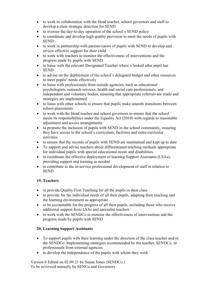- to work in collaboration with the Head teacher, school governors and staff to develop a clear strategic direction for SEND
- to oversee the day-to-day operation of the school's SEND policy
- to coordinate and develop high quality provision to meet the needs of pupils with **SEND**
- to work in partnership with parents/carers of pupils with SEND to develop and review effective support for their child
- to work with teachers to monitor the effectiveness of interventions and the progress made by pupils with SEND
- to liaise with the relevant Designated Teacher where a looked after pupil has SEND
- to advise on the deployment of the school's delegated budget and other resources to meet pupils' needs effectively
- to liaise with professionals from outside agencies, such as educational psychologists, outreach services, health and social care professionals, and independent and voluntary bodies, ensuring that appropriate referrals are made and strategies are implemented
- to liaise with other schools to ensure that pupils make smooth transitions between school placements
- to work with the Head teacher and school governors to ensure that the school meets its responsibilities under the Equality Act (2010) with regards to reasonable adjustment and access arrangements
- to promote the inclusion of pupils with SEND in the school community, ensuring they have access to the school's curriculum, facilities and extra-curricular activities
- to ensure that the records of pupils with SEND are maintained and kept up to date
- To support and advise teachers about differentiated teaching methods appropriate for individual pupils with special educational needs and disabilities.
- to coordinate the effective deployment of learning Support Assistants (LSAs), providing support and training as needed
- to contribute to the in-service professional development of staff in relation to **SEND**

# **19. Teachers**

- to provide Quality First Teaching for all the pupils in their class
- to provide for the individual needs of all their pupils, adapting their teaching and the learning environment as appropriate
- to be accountable for the progress of all their pupils, including those who receive additional support from LSAs and specialist teachers
- to work with the SENDCo to monitor the effectiveness of interventions and the progress made by pupils with SEND

#### **20. Learning Support Assistants**

- To support pupils with their learning under the direction of the class teacher and/or the SENDCo. Implementing strategies recommended by the teacher, SENDCo. or professionals from external agencies
- to develop the independence of the pupils with whom they work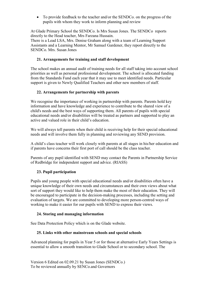• To provide feedback to the teacher and/or the SENDCo. on the progress of the pupils with whom they work to inform planning and review

At Glade Primary School the SENDCo. Is Mrs Susan Jones. The SENDCo reports directly to the Head teacher, Mrs Farzana Hussain.

There is a Lead LSA, Mrs. Denise Graham along with a team of Learning Support Assistants and a Learning Mentor, Mr Samuel Gardener, they report directly to the SENDCo. Mrs. Susan Jones

## **21. Arrangements for training and staff development**

The school makes an annual audit of training needs for all staff taking into account school priorities as well as personal professional development. The school is allocated funding from the Standards Fund each year that it may use to meet identified needs. Particular support is given to Newly Qualified Teachers and other new members of staff.

## **22. Arrangements for partnership with parents**

We recognise the importance of working in partnership with parents. Parents hold key information and have knowledge and experience to contribute to the shared view of a child's needs and the best ways of supporting them. All parents of pupils with special educational needs and/or disabilities will be treated as partners and supported to play an active and valued role in their child's education.

We will always tell parents when their child is receiving help for their special educational needs and will involve them fully in planning and reviewing any SEND provision.

A child's class teacher will work closely with parents at all stages in his/her education and if parents have concerns their first port of call should be the class teacher.

Parents of any pupil identified with SEND may contact the Parents in Partnership Service of Redbridge for independent support and advice. (RIASS)

#### **23. Pupil participation**

Pupils and young people with special educational needs and/or disabilities often have a unique knowledge of their own needs and circumstances and their own views about what sort of support they would like to help them make the most of their education. They will be encouraged to participate in the decision-making processes, including the setting and evaluation of targets. We are committed to developing more person-centred ways of working to make it easier for our pupils with SEND to express their views.

#### **24. Storing and managing information**

See Data Protection Policy which is on the Glade website.

#### **25. Links with other mainstream schools and special schools**

Advanced planning for pupils in Year 5 or for those at alternative Early Years Settings is essential to allow a smooth transition to Glade School or to secondary school. The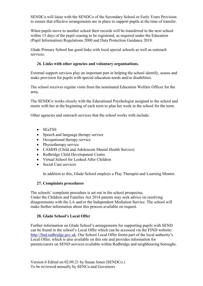SENDCo.will liaise with the SENDCo of the Secondary School or Early Years Provision to ensure that effective arrangements are in place to support pupils at the time of transfer.

When pupils move to another school their records will be transferred to the next school within 15 days of the pupil ceasing to be registered, as required under the Education (Pupil Information) Regulations 2000 and Data Protection Guidance 2018.

Glade Primary School has good links with local special schools as well as outreach services.

#### *26.* **Links with other agencies and voluntary organisations.**

External support services play an important part in helping the school identify, assess and make provision for pupils with special education needs and/or disabilities.

The school receives regular visits from the nominated Education Welfare Officer for the area**.** 

The SENDCo works closely with the Educational Psychologist assigned to the school and meets with her at the beginning of each term to plan her work in the school for the term.

Other agencies and outreach services that the school works with include:

- SEaTSS
- Speech and language therapy service
- Occupational therapy service
- Physiotherapy service
- CAMHS (Child and Adolescent Mental Health Service)
- Redbridge Child Development Centre
- Virtual School for Looked After Children
- Social Care services

In addition to this, Glade School employs a Play Therapist and Learning Mentor.

#### **27. Complaints procedures**

The schools' complaint procedure is set out in the school prospectus. Under the Children and Families Act 2014 parents may seek advice on resolving disagreements with the LA and/or the Independent Mediation Service. The school will make further information about this process available on request.

#### **28. Glade School's Local Offer**

Further information on Glade School's arrangements for supporting pupils with SEND can be found in the school's Local Offer which can be accessed via the FIND website: [http://find.redbridge.gov.uk.](http://find.redbridge.gov.uk/) Our School Local Offer forms part of the local authority's Local Offer, which is also available on this site and provides information for parents/carers on SEND services available within Redbridge and neighbouring boroughs.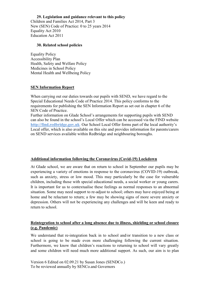**29. Legislation and guidance relevant to this policy** Children and Families Act 2014, Part 3

New (SEN) Code of Practice: 0 to 25 years 2014 Equality Act 2010 Education Act 2011

#### **30. Related school policies**

Equality Policy Accessibility Plan Health, Safety and Welfare Policy Medicines in School Policy Mental Health and Wellbeing Policy

#### **SEN Information Report**

When carrying out our duties towards our pupils with SEND, we have regard to the Special Educational Needs Code of Practice 2014. This policy conforms to the requirements for publishing the SEN Information Report as set out in chapter 6 of the SEN Code of Practice.

Further information on Glade School's arrangements for supporting pupils with SEND can also be found in the school's Local Offer which can be accessed via the FIND website **http://find.redbridge.gov.uk**. Our School Local Offer forms part of the local authority's Local offer, which is also available on this site and provides information for parents/carers on SEND services available within Redbridge and neighbouring boroughs.

#### **Additional information following the Coronavirus (Covid-19) Lockdown**

At Glade school, we are aware that on return to school in September our pupils may be experiencing a variety of emotions in response to the coronavirus (COVID-19) outbreak, such as anxiety, stress or low mood. This may particularly be the case for vulnerable children, including those with special educational needs, a social worker or young carers. It is important for us to contextualise these feelings as normal responses to an abnormal situation. Some may need support to re-adjust to school; others may have enjoyed being at home and be reluctant to return; a few may be showing signs of more severe anxiety or depression. Others will not be experiencing any challenges and will be keen and ready to return to school.

## **Reintegration to school after a long absence due to illness, shielding or school closure (e.g. Pandemic)**

We understand that re-integration back in to school and/or transition to a new class or school is going to be made even more challenging following the current situation. Furthermore, we know that children's reactions to returning to school will vary greatly and some children will need much more additional support. As such, our aim is to plan